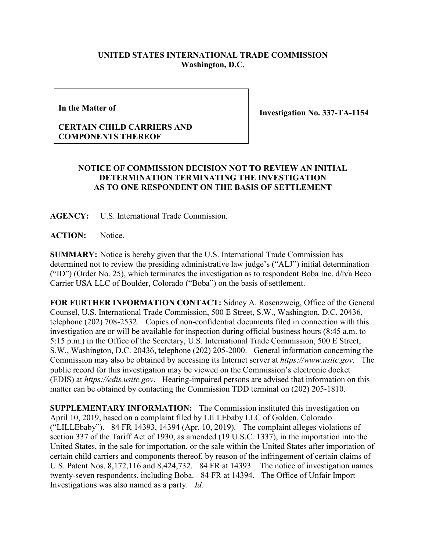## **UNITED STATES INTERNATIONAL TRADE COMMISSION Washington, D.C.**

**In the Matter of**

**Investigation No. 337-TA-1154**

## **CERTAIN CHILD CARRIERS AND COMPONENTS THEREOF**

## **NOTICE OF COMMISSION DECISION NOT TO REVIEW AN INITIAL DETERMINATION TERMINATING THE INVESTIGATION AS TO ONE RESPONDENT ON THE BASIS OF SETTLEMENT**

**AGENCY:** U.S. International Trade Commission.

**ACTION:** Notice.

**SUMMARY:** Notice is hereby given that the U.S. International Trade Commission has determined not to review the presiding administrative law judge's ("ALJ") initial determination ("ID") (Order No. 25), which terminates the investigation as to respondent Boba Inc. d/b/a Beco Carrier USA LLC of Boulder, Colorado ("Boba") on the basis of settlement.

**FOR FURTHER INFORMATION CONTACT:** Sidney A. Rosenzweig, Office of the General Counsel, U.S. International Trade Commission, 500 E Street, S.W., Washington, D.C. 20436, telephone (202) 708-2532. Copies of non-confidential documents filed in connection with this investigation are or will be available for inspection during official business hours (8:45 a.m. to 5:15 p.m.) in the Office of the Secretary, U.S. International Trade Commission, 500 E Street, S.W., Washington, D.C. 20436, telephone (202) 205-2000. General information concerning the Commission may also be obtained by accessing its Internet server at *https://www.usitc.gov*. The public record for this investigation may be viewed on the Commission's electronic docket (EDIS) at *https://edis.usitc.gov*. Hearing-impaired persons are advised that information on this matter can be obtained by contacting the Commission TDD terminal on (202) 205-1810.

**SUPPLEMENTARY INFORMATION:** The Commission instituted this investigation on April 10, 2019, based on a complaint filed by LILLEbaby LLC of Golden, Colorado ("LILLEbaby"). 84 FR 14393, 14394 (Apr. 10, 2019). The complaint alleges violations of section 337 of the Tariff Act of 1930, as amended (19 U.S.C. 1337), in the importation into the United States, in the sale for importation, or the sale within the United States after importation of certain child carriers and components thereof, by reason of the infringement of certain claims of U.S. Patent Nos. 8,172,116 and 8,424,732. 84 FR at 14393. The notice of investigation names twenty-seven respondents, including Boba. 84 FR at 14394. The Office of Unfair Import Investigations was also named as a party. *Id.*